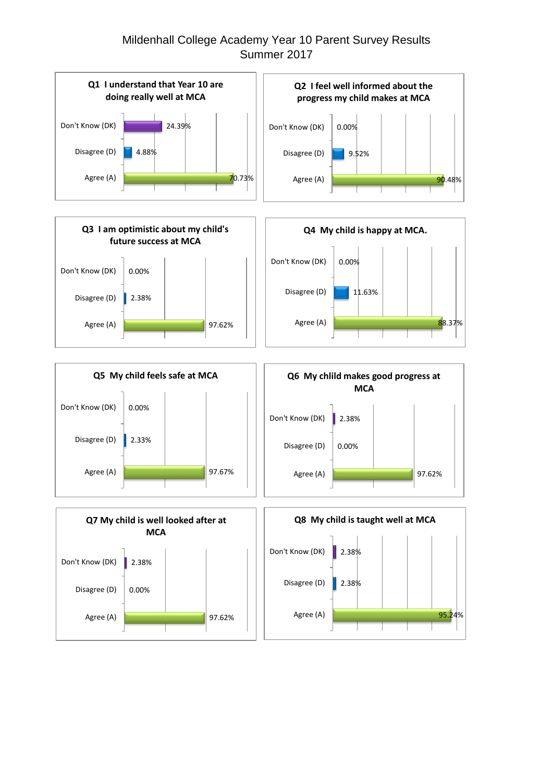## Mildenhall College Academy Year 10 Parent Survey Results Summer 2017